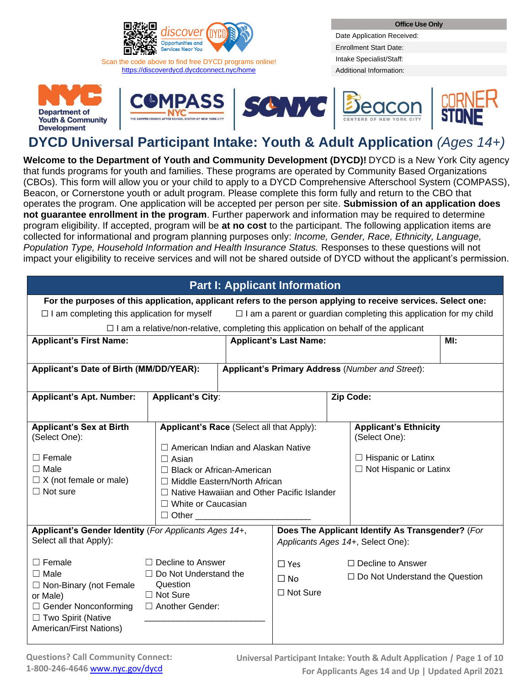

Scan the code above to find free DYCD programs online! <https://discoverdycd.dycdconnect.nyc/home>

Date Application Received: Enrollment Start Date: Intake Specialist/Staff: Additional Information:











# **DYCD Universal Participant Intake: Youth & Adult Application** *(Ages 14+)*

**Welcome to the Department of Youth and Community Development (DYCD)!** DYCD is a New York City agency that funds programs for youth and families. These programs are operated by Community Based Organizations (CBOs). This form will allow you or your child to apply to a DYCD Comprehensive Afterschool System (COMPASS), Beacon, or Cornerstone youth or adult program. Please complete this form fully and return to the CBO that operates the program. One application will be accepted per person per site. **Submission of an application does not guarantee enrollment in the program**. Further paperwork and information may be required to determine program eligibility. If accepted, program will be **at no cost** to the participant. The following application items are collected for informational and program planning purposes only: *Income, Gender, Race, Ethnicity, Language, Population Type, Household Information and Health Insurance Status.* Responses to these questions will not impact your eligibility to receive services and will not be shared outside of DYCD without the applicant's permission.

|                                                                                                                                                                                               |                                                                                                                                                                                                 |                              | <b>Part I: Applicant Information</b>       |                                                                                                                                                                 |     |
|-----------------------------------------------------------------------------------------------------------------------------------------------------------------------------------------------|-------------------------------------------------------------------------------------------------------------------------------------------------------------------------------------------------|------------------------------|--------------------------------------------|-----------------------------------------------------------------------------------------------------------------------------------------------------------------|-----|
| For the purposes of this application, applicant refers to the person applying to receive services. Select one:                                                                                |                                                                                                                                                                                                 |                              |                                            |                                                                                                                                                                 |     |
| $\Box$ I am completing this application for myself                                                                                                                                            |                                                                                                                                                                                                 |                              |                                            | $\Box$ I am a parent or guardian completing this application for my child                                                                                       |     |
|                                                                                                                                                                                               |                                                                                                                                                                                                 |                              |                                            | $\Box$ I am a relative/non-relative, completing this application on behalf of the applicant                                                                     |     |
| <b>Applicant's First Name:</b>                                                                                                                                                                |                                                                                                                                                                                                 |                              | <b>Applicant's Last Name:</b>              |                                                                                                                                                                 | Ml: |
|                                                                                                                                                                                               |                                                                                                                                                                                                 |                              |                                            |                                                                                                                                                                 |     |
| Applicant's Date of Birth (MM/DD/YEAR):                                                                                                                                                       |                                                                                                                                                                                                 |                              |                                            | Applicant's Primary Address (Number and Street):                                                                                                                |     |
|                                                                                                                                                                                               |                                                                                                                                                                                                 |                              |                                            |                                                                                                                                                                 |     |
| <b>Applicant's Apt. Number:</b>                                                                                                                                                               | <b>Applicant's City:</b>                                                                                                                                                                        |                              |                                            | Zip Code:                                                                                                                                                       |     |
|                                                                                                                                                                                               |                                                                                                                                                                                                 |                              |                                            |                                                                                                                                                                 |     |
| <b>Applicant's Sex at Birth</b><br>(Select One):<br>$\Box$ Female<br>$\Box$ Male<br>$\Box$ X (not female or male)<br>$\Box$ Not sure<br>Applicant's Gender Identity (For Applicants Ages 14+, | Applicant's Race (Select all that Apply):<br>$\Box$ American Indian and Alaskan Native<br>$\Box$ Asian<br>$\Box$ Black or African-American<br>П<br>$\Box$ White or Caucasian<br>Other<br>$\Box$ | Middle Eastern/North African | Native Hawaiian and Other Pacific Islander | <b>Applicant's Ethnicity</b><br>(Select One):<br>$\Box$ Hispanic or Latinx<br>$\Box$ Not Hispanic or Latinx<br>Does The Applicant Identify As Transgender? (For |     |
| Select all that Apply):                                                                                                                                                                       |                                                                                                                                                                                                 |                              |                                            | Applicants Ages 14+, Select One):                                                                                                                               |     |
| $\Box$ Female<br>$\Box$ Male<br>$\Box$ Non-Binary (not Female<br>or Male)<br>$\Box$ Gender Nonconforming<br>□ Two Spirit (Native<br>American/First Nations)                                   | $\Box$ Decline to Answer<br>$\Box$ Do Not Understand the<br>Question<br>$\Box$ Not Sure<br>$\Box$ Another Gender:                                                                               |                              | $\Box$ Yes<br>$\Box$ No<br>$\Box$ Not Sure | $\Box$ Decline to Answer<br>$\Box$ Do Not Understand the Question                                                                                               |     |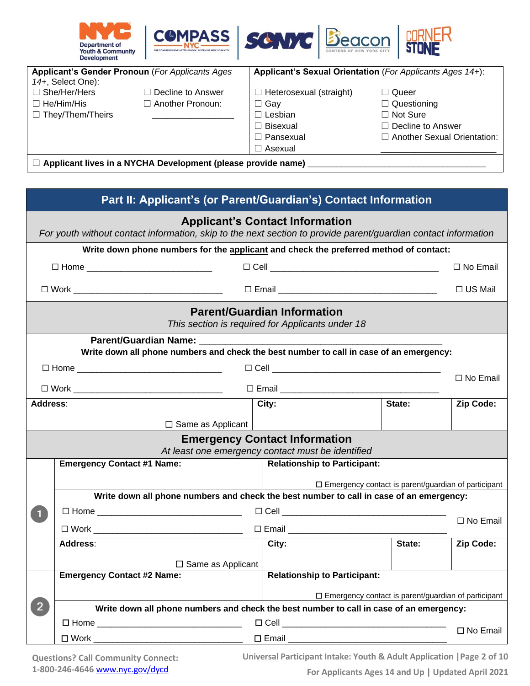

|                         | Applicant's Gender Pronoun (For Applicants Ages)                    |                                | Applicant's Sexual Orientation (For Applicants Ages 14+): |
|-------------------------|---------------------------------------------------------------------|--------------------------------|-----------------------------------------------------------|
| 14+, Select One):       |                                                                     |                                |                                                           |
| $\Box$ She/Her/Hers     | $\Box$ Decline to Answer                                            | $\Box$ Heterosexual (straight) | $\Box$ Queer                                              |
| $\Box$ He/Him/His       | $\Box$ Another Pronoun:                                             | $\Box$ Gay                     | $\Box$ Questioning                                        |
| $\Box$ They/Them/Theirs |                                                                     | $\Box$ Lesbian                 | $\Box$ Not Sure                                           |
|                         |                                                                     | $\Box$ Bisexual                | $\Box$ Decline to Answer                                  |
|                         |                                                                     | $\Box$ Pansexual               | $\Box$ Another Sexual Orientation:                        |
|                         |                                                                     | $\Box$ Asexual                 |                                                           |
|                         | $\Box$ Applicant lives in a NYCHA Development (please provide name) |                                |                                                           |

|                | Part II: Applicant's (or Parent/Guardian's) Contact Information                                                |                                                                                        |        |                 |
|----------------|----------------------------------------------------------------------------------------------------------------|----------------------------------------------------------------------------------------|--------|-----------------|
|                | For youth without contact information, skip to the next section to provide parent/guardian contact information | <b>Applicant's Contact Information</b>                                                 |        |                 |
|                | Write down phone numbers for the applicant and check the preferred method of contact:                          |                                                                                        |        |                 |
|                | □ Home _______________________________                                                                         |                                                                                        |        | □ No Email      |
|                | □ Work ________________________________  □ Email _______________________________                               |                                                                                        |        | $\Box$ US Mail  |
|                |                                                                                                                | <b>Parent/Guardian Information</b><br>This section is required for Applicants under 18 |        |                 |
|                |                                                                                                                |                                                                                        |        |                 |
|                | Write down all phone numbers and check the best number to call in case of an emergency:                        |                                                                                        |        |                 |
|                |                                                                                                                |                                                                                        |        | $\Box$ No Email |
| Address:       |                                                                                                                | City:                                                                                  | State: | Zip Code:       |
|                | $\Box$ Same as Applicant                                                                                       |                                                                                        |        |                 |
|                |                                                                                                                | <b>Emergency Contact Information</b>                                                   |        |                 |
|                |                                                                                                                | At least one emergency contact must be identified                                      |        |                 |
|                | <b>Emergency Contact #1 Name:</b>                                                                              | <b>Relationship to Participant:</b>                                                    |        |                 |
|                |                                                                                                                | $\square$ Emergency contact is parent/guardian of participant                          |        |                 |
|                | Write down all phone numbers and check the best number to call in case of an emergency:                        |                                                                                        |        |                 |
| $\mathbf{1}$   |                                                                                                                |                                                                                        |        | □ No Email      |
|                |                                                                                                                |                                                                                        |        |                 |
|                | Address:                                                                                                       | City:                                                                                  | State: | Zip Code:       |
|                | $\Box$ Same as Applicant                                                                                       |                                                                                        |        |                 |
|                | <b>Emergency Contact #2 Name:</b>                                                                              | <b>Relationship to Participant:</b>                                                    |        |                 |
|                |                                                                                                                | $\square$ Emergency contact is parent/guardian of participant                          |        |                 |
| $\overline{2}$ | Write down all phone numbers and check the best number to call in case of an emergency:                        |                                                                                        |        |                 |
|                |                                                                                                                |                                                                                        |        | □ No Email      |
|                | □ Work __________ <del>________________________</del>                                                          |                                                                                        |        |                 |

**Questions? Call Community Connect: 1-800-246-4646** [www.nyc.gov/dycd](http://www.nyc.gov/dycd)

**Universal Participant Intake: Youth & Adult Application |Page 2 of 10**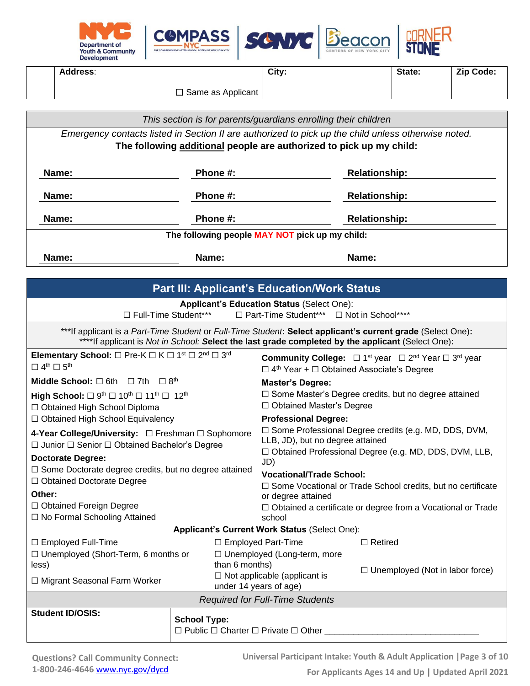

**Address**:

**City:** State: **Zip Code:** 

□ Same as Applicant

*This section is for parents/guardians enrolling their children*

*Emergency contacts listed in Section II are authorized to pick up the child unless otherwise noted.* **The following additional people are authorized to pick up my child:**

| Name: | Phone #:                                       | <b>Relationship:</b> |
|-------|------------------------------------------------|----------------------|
| Name: | Phone #:                                       | <b>Relationship:</b> |
| Name: | Phone #:                                       | <b>Relationship:</b> |
|       | The following people MAY NOT pick up my child: |                      |
| Name: | Name:                                          | Name:                |

|                                                                                                                                                                       |                                                                                                                                                                                                     | <b>Part III: Applicant's Education/Work Status</b>                                              |                                                                                                                                                                                                                  |
|-----------------------------------------------------------------------------------------------------------------------------------------------------------------------|-----------------------------------------------------------------------------------------------------------------------------------------------------------------------------------------------------|-------------------------------------------------------------------------------------------------|------------------------------------------------------------------------------------------------------------------------------------------------------------------------------------------------------------------|
|                                                                                                                                                                       | $\Box$ Full-Time Student***                                                                                                                                                                         | <b>Applicant's Education Status (Select One):</b><br>□ Part-Time Student*** □ Not in School**** |                                                                                                                                                                                                                  |
|                                                                                                                                                                       |                                                                                                                                                                                                     |                                                                                                 | ***If applicant is a Part-Time Student or Full-Time Student: Select applicant's current grade (Select One):<br>****If applicant is Not in School: Select the last grade completed by the applicant (Select One): |
| <b>Elementary School:</b> $\Box$ Pre-K $\Box$ K $\Box$ 1 <sup>st</sup> $\Box$ 2 <sup>nd</sup> $\Box$ 3 <sup>rd</sup><br>$\Box$ 4 <sup>th</sup> $\Box$ 5 <sup>th</sup> |                                                                                                                                                                                                     | $\Box$ 4 <sup>th</sup> Year + $\Box$ Obtained Associate's Degree                                | <b>Community College:</b> $\Box$ 1 <sup>st</sup> year $\Box$ 2 <sup>nd</sup> Year $\Box$ 3 <sup>rd</sup> year                                                                                                    |
| <b>Middle School:</b> $\Box$ 6th $\Box$ 7th $\Box$ 8 <sup>th</sup>                                                                                                    |                                                                                                                                                                                                     | <b>Master's Degree:</b>                                                                         |                                                                                                                                                                                                                  |
| □ Obtained High School Diploma                                                                                                                                        | □ Some Master's Degree credits, but no degree attained<br>High School: $\Box$ 9 <sup>th</sup> $\Box$ 10 <sup>th</sup> $\Box$ 11 <sup>th</sup> $\Box$ 12 <sup>th</sup><br>□ Obtained Master's Degree |                                                                                                 |                                                                                                                                                                                                                  |
|                                                                                                                                                                       | □ Obtained High School Equivalency<br><b>Professional Degree:</b>                                                                                                                                   |                                                                                                 |                                                                                                                                                                                                                  |
| $\Box$ Junior $\Box$ Senior $\Box$ Obtained Bachelor's Degree<br><b>Doctorate Degree:</b>                                                                             | □ Some Professional Degree credits (e.g. MD, DDS, DVM,<br>LLB, JD), but no degree attained<br>□ Obtained Professional Degree (e.g. MD, DDS, DVM, LLB,                                               |                                                                                                 |                                                                                                                                                                                                                  |
| □ Some Doctorate degree credits, but no degree attained                                                                                                               |                                                                                                                                                                                                     | JD)<br><b>Vocational/Trade School:</b>                                                          |                                                                                                                                                                                                                  |
| □ Obtained Doctorate Degree                                                                                                                                           |                                                                                                                                                                                                     |                                                                                                 | □ Some Vocational or Trade School credits, but no certificate                                                                                                                                                    |
| Other:                                                                                                                                                                |                                                                                                                                                                                                     | or degree attained                                                                              |                                                                                                                                                                                                                  |
| □ Obtained Foreign Degree                                                                                                                                             |                                                                                                                                                                                                     |                                                                                                 | $\Box$ Obtained a certificate or degree from a Vocational or Trade                                                                                                                                               |
| □ No Formal Schooling Attained                                                                                                                                        |                                                                                                                                                                                                     | school                                                                                          |                                                                                                                                                                                                                  |
|                                                                                                                                                                       |                                                                                                                                                                                                     | Applicant's Current Work Status (Select One):                                                   |                                                                                                                                                                                                                  |
| □ Employed Full-Time                                                                                                                                                  |                                                                                                                                                                                                     | $\Box$ Employed Part-Time                                                                       | $\Box$ Retired                                                                                                                                                                                                   |
| $\Box$ Unemployed (Short-Term, 6 months or<br>less)                                                                                                                   | than 6 months)                                                                                                                                                                                      | $\Box$ Unemployed (Long-term, more                                                              |                                                                                                                                                                                                                  |
|                                                                                                                                                                       |                                                                                                                                                                                                     | $\Box$ Not applicable (applicant is                                                             | $\Box$ Unemployed (Not in labor force)                                                                                                                                                                           |
| □ Migrant Seasonal Farm Worker                                                                                                                                        |                                                                                                                                                                                                     | under 14 years of age)                                                                          |                                                                                                                                                                                                                  |
|                                                                                                                                                                       |                                                                                                                                                                                                     | <b>Required for Full-Time Students</b>                                                          |                                                                                                                                                                                                                  |
| <b>Student ID/OSIS:</b>                                                                                                                                               |                                                                                                                                                                                                     |                                                                                                 |                                                                                                                                                                                                                  |
|                                                                                                                                                                       | <b>School Type:</b><br>$\Box$ Public $\Box$ Charter $\Box$ Private $\Box$ Other                                                                                                                     |                                                                                                 |                                                                                                                                                                                                                  |

**Universal Participant Intake: Youth & Adult Application |Page 3 of 10**

**For Applicants Ages 14 and Up | Updated April 2021**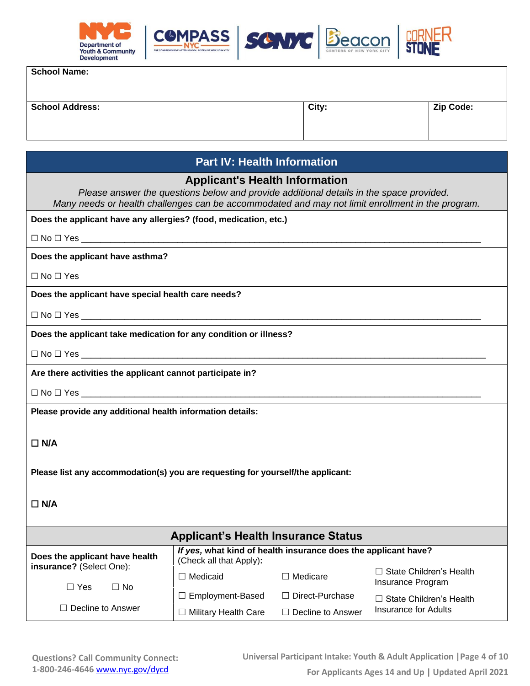

| <b>School Name:</b> |  |
|---------------------|--|
|---------------------|--|

| <b>School Address:</b> | City: | <b>Zip Code:</b> |
|------------------------|-------|------------------|
|                        |       |                  |
|                        |       |                  |
|                        |       |                  |

## **Part IV: Health Information**

## **Applicant's Health Information**

*Please answer the questions below and provide additional details in the space provided. Many needs or health challenges can be accommodated and may not limit enrollment in the program.*

**Does the applicant have any allergies? (food, medication, etc.)**

| $\square$ No $\square$ Yes |  |
|----------------------------|--|
|                            |  |

**Does the applicant have asthma?** 

☐ No ☐ Yes

**Does the applicant have special health care needs?**

 $\Box$  No  $\Box$  Yes  $\_$ 

**Does the applicant take medication for any condition or illness?**

 $\Box$  No  $\Box$  Yes  $\_$ 

**Are there activities the applicant cannot participate in?**

 $\Box$  No  $\Box$  Yes  $\_$ 

**Please provide any additional health information details:**

## ☐ **N/A**

**Please list any accommodation(s) you are requesting for yourself/the applicant:**

### ☐ **N/A**

|                                                | <b>Applicant's Health Insurance Status</b>                                                |                          |                                                     |
|------------------------------------------------|-------------------------------------------------------------------------------------------|--------------------------|-----------------------------------------------------|
| Does the applicant have health                 | If yes, what kind of health insurance does the applicant have?<br>(Check all that Apply): |                          |                                                     |
| insurance? (Select One):<br>$\Box$ Yes<br>⊟ No | Medicaid                                                                                  | $\Box$ Medicare          | $\Box$ State Children's Health<br>Insurance Program |
|                                                | $\Box$ Employment-Based                                                                   | $\Box$ Direct-Purchase   | l State Children's Health                           |
| Decline to Answer                              | <b>Military Health Care</b>                                                               | $\Box$ Decline to Answer | Insurance for Adults                                |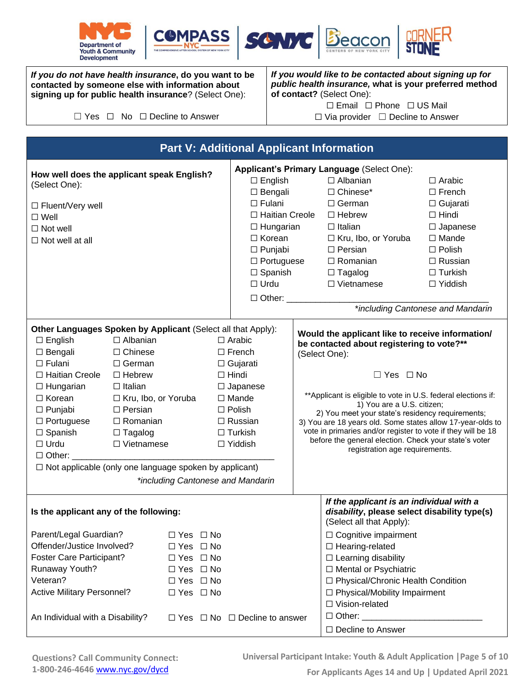







*If you do not have health insurance***, do you want to be contacted by someone else with information about signing up for public health insurance**? (Select One):

☐ Yes ☐ No ☐ Decline to Answer

*If you would like to be contacted about signing up for public health insurance,* **what is your preferred method of contact?** (Select One): ☐ Email ☐ Phone ☐ US Mail

☐ Via provider ☐ Decline to Answer

|                                                                                                                                                                                                                                                                                                                                      |                                                                                                                                                                                            |                                                                                                                                              | <b>Part V: Additional Applicant Information</b>                                                                                                                                                                     |                                                                                                                                                                                                                                                                                                                                                                                                                                                                                                                    |                                                                                                                                                                                                                  |
|--------------------------------------------------------------------------------------------------------------------------------------------------------------------------------------------------------------------------------------------------------------------------------------------------------------------------------------|--------------------------------------------------------------------------------------------------------------------------------------------------------------------------------------------|----------------------------------------------------------------------------------------------------------------------------------------------|---------------------------------------------------------------------------------------------------------------------------------------------------------------------------------------------------------------------|--------------------------------------------------------------------------------------------------------------------------------------------------------------------------------------------------------------------------------------------------------------------------------------------------------------------------------------------------------------------------------------------------------------------------------------------------------------------------------------------------------------------|------------------------------------------------------------------------------------------------------------------------------------------------------------------------------------------------------------------|
| How well does the applicant speak English?<br>(Select One):<br>□ Fluent/Very well<br>$\Box$ Well<br>$\Box$ Not well<br>$\Box$ Not well at all                                                                                                                                                                                        |                                                                                                                                                                                            |                                                                                                                                              | $\Box$ English<br>$\Box$ Bengali<br>$\Box$ Fulani<br>$\Box$ Haitian Creole<br>$\Box$ Hungarian<br>$\Box$ Korean<br>$\Box$ Punjabi<br>$\Box$ Portuguese<br>$\Box$ Spanish<br>$\Box$ Urdu<br>□ Other: _______________ | Applicant's Primary Language (Select One):<br>$\Box$ Albanian<br>□ Chinese*<br>$\Box$ German<br>$\Box$ Hebrew<br>$\Box$ Italian<br>□ Kru, Ibo, or Yoruba<br>$\Box$ Persian<br>$\Box$ Romanian<br>$\Box$ Tagalog<br>$\Box$ Vietnamese                                                                                                                                                                                                                                                                               | $\Box$ Arabic<br>$\Box$ French<br>$\Box$ Gujarati<br>$\Box$ Hindi<br>$\Box$ Japanese<br>$\Box$ Mande<br>$\Box$ Polish<br>$\Box$ Russian<br>$\Box$ Turkish<br>$\Box$ Yiddish<br>*including Cantonese and Mandarin |
| Other Languages Spoken by Applicant (Select all that Apply):<br>$\Box$ English<br>$\Box$ Bengali<br>$\Box$ Fulani<br>□ Haitian Creole<br>$\Box$ Hungarian<br>$\Box$ Korean<br>$\Box$ Punjabi<br>$\Box$ Portuguese<br>$\Box$ Spanish<br>$\Box$ Urdu<br>$\Box$ Other:<br>$\Box$ Not applicable (only one language spoken by applicant) | $\Box$ Albanian<br>$\Box$ Chinese<br>$\Box$ German<br>$\Box$ Hebrew<br>$\Box$ Italian<br>□ Kru, Ibo, or Yoruba<br>$\Box$ Persian<br>$\Box$ Romanian<br>$\Box$ Tagalog<br>$\Box$ Vietnamese |                                                                                                                                              | $\Box$ Arabic<br>$\Box$ French<br>$\Box$ Gujarati<br>$\Box$ Hindi<br>$\Box$ Japanese<br>$\Box$ Mande<br>$\Box$ Polish<br>$\Box$ Russian<br>$\Box$ Turkish<br>$\Box$ Yiddish<br>*including Cantonese and Mandarin    | Would the applicant like to receive information/<br>be contacted about registering to vote?**<br>(Select One):<br>$\Box$ Yes $\Box$ No<br>**Applicant is eligible to vote in U.S. federal elections if:<br>1) You are a U.S. citizen;<br>2) You meet your state's residency requirements;<br>3) You are 18 years old. Some states allow 17-year-olds to<br>vote in primaries and/or register to vote if they will be 18<br>before the general election. Check your state's voter<br>registration age requirements. |                                                                                                                                                                                                                  |
| Is the applicant any of the following:<br>Parent/Legal Guardian?<br>Offender/Justice Involved?<br><b>Foster Care Participant?</b><br>Runaway Youth?<br>Veteran?<br><b>Active Military Personnel?</b><br>An Individual with a Disability?                                                                                             |                                                                                                                                                                                            | $\Box$ Yes $\Box$ No<br>$\Box$ Yes $\Box$ No<br>$\Box$ Yes $\Box$ No<br>$\Box$ Yes $\Box$ No<br>$\Box$ Yes $\Box$ No<br>$\Box$ Yes $\Box$ No | $\Box$ Yes $\Box$ No $\Box$ Decline to answer                                                                                                                                                                       | If the applicant is an individual with a<br>disability, please select disability type(s)<br>(Select all that Apply):<br>$\Box$ Cognitive impairment<br>$\Box$ Hearing-related<br>$\Box$ Learning disability<br>□ Mental or Psychiatric<br>□ Physical/Chronic Health Condition<br>$\Box$ Physical/Mobility Impairment<br>$\Box$ Vision-related<br>□ Other: _____________<br>$\Box$ Decline to Answer                                                                                                                |                                                                                                                                                                                                                  |

**Universal Participant Intake: Youth & Adult Application |Page 5 of 10**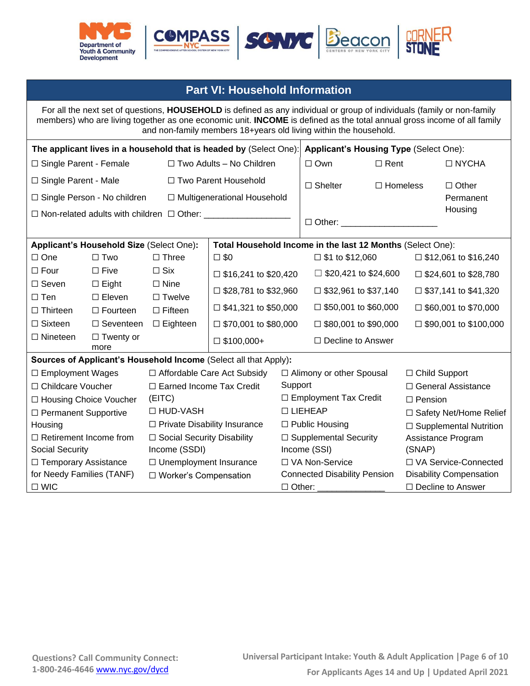





# **Part VI: Household Information**

For all the next set of questions, **HOUSEHOLD** is defined as any individual or group of individuals (family or non-family members) who are living together as one economic unit. **INCOME** is defined as the total annual gross income of all family and non-family members 18+years old living within the household. **The applicant lives in a household that is headed by** (Select One): **Applicant's Housing Type** (Select One): ☐ Single Parent - Female ☐ Single Parent - Male ☐ Single Person - No children ☐ Non-related adults with children ☐ Other: \_\_\_\_\_\_\_\_\_\_\_\_\_\_\_\_\_\_ ☐ Two Adults – No Children ☐ Two Parent Household ☐ Multigenerational Household ☐ Own ☐ Shelter ☐ Rent ☐ Homeless ☐ NYCHA ☐ Other Permanent **Housing**  $\Box$  Other: **Applicant's Household Size** (Select One)**: Total Household Income in the last 12 Months** (Select One): ☐ One ☐ Four ☐ Seven ☐ Ten ☐ Thirteen □ Sixteen ☐ Nineteen ☐ Two ☐ Five ☐ Eight ☐ Eleven ☐ Fourteen □ Seventeen □ Eighteen ☐ Twenty or more ☐ Three  $\Box$  Six ☐ Nine □ Twelve ☐ Fifteen  $\square$  \$0  $\square$  \$16,241 to \$20,420 ☐ \$28,781 to \$32,960  $\Box$  \$41,321 to \$50,000 ☐ \$70,001 to \$80,000  $\square$  \$100,000+  $\square$  \$1 to \$12,060  $\Box$  \$20,421 to \$24,600  $\Box$  \$32,961 to \$37,140  $\Box$  \$50,001 to \$60,000 ☐ \$80,001 to \$90,000 ☐ Decline to Answer  $\square$  \$12,061 to \$16,240  $\Box$  \$24,601 to \$28,780 ☐ \$37,141 to \$41,320  $\Box$  \$60,001 to \$70,000  $\Box$  \$90,001 to \$100,000 **Sources of Applicant's Household Income** (Select all that Apply)**:** ☐ Employment Wages ☐ Childcare Voucher ☐ Housing Choice Voucher ☐ Permanent Supportive Housing ☐ Retirement Income from Social Security □ Temporary Assistance for Needy Families (TANF) ☐ WIC ☐ Affordable Care Act Subsidy ☐ Earned Income Tax Credit (EITC) ☐ HUD-VASH ☐ Private Disability Insurance ☐ Social Security Disability Income (SSDI) ☐ Unemployment Insurance ☐ Worker's Compensation ☐ Alimony or other Spousal Support ☐ Employment Tax Credit ☐ LIEHEAP ☐ Public Housing □ Supplemental Security Income (SSI) ☐ VA Non-Service Connected Disability Pension ☐ Other: \_\_\_\_\_\_\_\_\_\_\_\_\_\_ ☐ Child Support ☐ General Assistance ☐ Pension □ Safety Net/Home Relief □ Supplemental Nutrition Assistance Program (SNAP) ☐ VA Service-Connected Disability Compensation ☐ Decline to Answer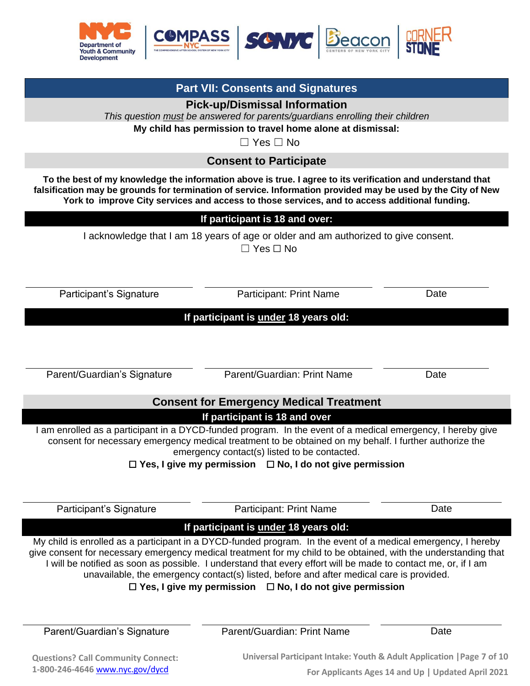

**Part VII: Consents and Signatures Pick-up/Dismissal Information** 

|                             | This question must be answered for parents/guardians enrolling their children<br>My child has permission to travel home alone at dismissal:<br>$\Box$ Yes $\Box$ No                                                                                                                                                                                                                                                                                                                                                    |      |
|-----------------------------|------------------------------------------------------------------------------------------------------------------------------------------------------------------------------------------------------------------------------------------------------------------------------------------------------------------------------------------------------------------------------------------------------------------------------------------------------------------------------------------------------------------------|------|
|                             | <b>Consent to Participate</b>                                                                                                                                                                                                                                                                                                                                                                                                                                                                                          |      |
|                             | To the best of my knowledge the information above is true. I agree to its verification and understand that<br>falsification may be grounds for termination of service. Information provided may be used by the City of New<br>York to improve City services and access to those services, and to access additional funding.                                                                                                                                                                                            |      |
|                             | If participant is 18 and over:                                                                                                                                                                                                                                                                                                                                                                                                                                                                                         |      |
|                             | I acknowledge that I am 18 years of age or older and am authorized to give consent.<br>$\Box$ Yes $\Box$ No                                                                                                                                                                                                                                                                                                                                                                                                            |      |
| Participant's Signature     | <b>Participant: Print Name</b>                                                                                                                                                                                                                                                                                                                                                                                                                                                                                         | Date |
|                             | If participant is under 18 years old:                                                                                                                                                                                                                                                                                                                                                                                                                                                                                  |      |
| Parent/Guardian's Signature | Parent/Guardian: Print Name                                                                                                                                                                                                                                                                                                                                                                                                                                                                                            | Date |
|                             | <b>Consent for Emergency Medical Treatment</b>                                                                                                                                                                                                                                                                                                                                                                                                                                                                         |      |
|                             | If participant is 18 and over<br>I am enrolled as a participant in a DYCD-funded program. In the event of a medical emergency, I hereby give<br>consent for necessary emergency medical treatment to be obtained on my behalf. I further authorize the<br>emergency contact(s) listed to be contacted.<br>$\Box$ Yes, I give my permission $\Box$ No, I do not give permission                                                                                                                                         |      |
| Participant's Signature     | Participant: Print Name                                                                                                                                                                                                                                                                                                                                                                                                                                                                                                | Date |
|                             | If participant is under 18 years old:                                                                                                                                                                                                                                                                                                                                                                                                                                                                                  |      |
|                             | My child is enrolled as a participant in a DYCD-funded program. In the event of a medical emergency, I hereby<br>give consent for necessary emergency medical treatment for my child to be obtained, with the understanding that<br>I will be notified as soon as possible. I understand that every effort will be made to contact me, or, if I am<br>unavailable, the emergency contact(s) listed, before and after medical care is provided.<br>$\Box$ Yes, I give my permission $\Box$ No, I do not give permission |      |
| Parent/Guardian's Signature | Parent/Guardian: Print Name                                                                                                                                                                                                                                                                                                                                                                                                                                                                                            | Date |

**Questions? Call Community Connect: 1-800-246-4646** [www.nyc.gov/dycd](http://www.nyc.gov/dycd)

**Universal Participant Intake: Youth & Adult Application |Page 7 of 10 For Applicants Ages 14 and Up | Updated April 2021**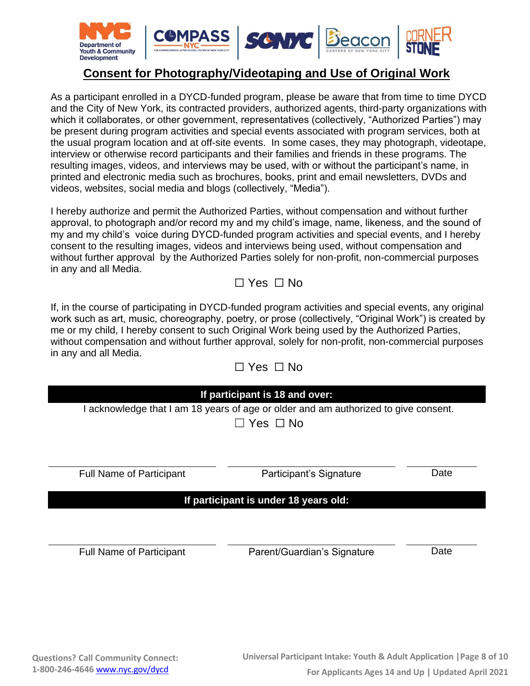

# **Consent for Photography/Videotaping and Use of Original Work**

As a participant enrolled in a DYCD-funded program, please be aware that from time to time DYCD and the City of New York, its contracted providers, authorized agents, third-party organizations with which it collaborates, or other government, representatives (collectively, "Authorized Parties") may be present during program activities and special events associated with program services, both at the usual program location and at off-site events. In some cases, they may photograph, videotape, interview or otherwise record participants and their families and friends in these programs. The resulting images, videos, and interviews may be used, with or without the participant's name, in printed and electronic media such as brochures, books, print and email newsletters, DVDs and videos, websites, social media and blogs (collectively, "Media").

I hereby authorize and permit the Authorized Parties, without compensation and without further approval, to photograph and/or record my and my child's image, name, likeness, and the sound of my and my child's voice during DYCD-funded program activities and special events, and I hereby consent to the resulting images, videos and interviews being used, without compensation and without further approval by the Authorized Parties solely for non-profit, non-commercial purposes in any and all Media.

# ☐ Yes ☐ No

If, in the course of participating in DYCD-funded program activities and special events, any original work such as art, music, choreography, poetry, or prose (collectively, "Original Work") is created by me or my child, I hereby consent to such Original Work being used by the Authorized Parties, without compensation and without further approval, solely for non-profit, non-commercial purposes in any and all Media.  $\Box$  Ves  $\Box$  No

|                                 | ப<br>152 LIV                                                                                                                           |      |
|---------------------------------|----------------------------------------------------------------------------------------------------------------------------------------|------|
|                                 | If participant is 18 and over:<br>I acknowledge that I am 18 years of age or older and am authorized to give consent.<br>Yes $\Box$ No |      |
| <b>Full Name of Participant</b> | Participant's Signature                                                                                                                | Date |
|                                 | If participant is under 18 years old:                                                                                                  |      |
| <b>Full Name of Participant</b> | Parent/Guardian's Signature                                                                                                            | Date |
|                                 |                                                                                                                                        |      |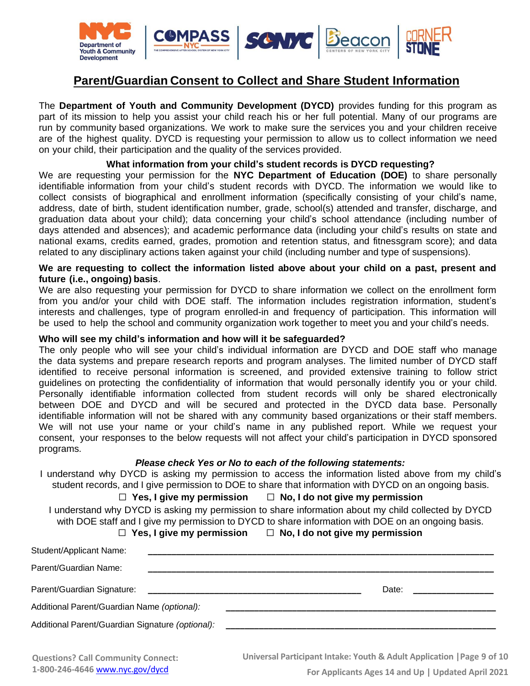

# **Parent/Guardian Consent to Collect and Share Student Information**

The **Department of Youth and Community Development (DYCD)** provides funding for this program as part of its mission to help you assist your child reach his or her full potential. Many of our programs are run by community based organizations. We work to make sure the services you and your children receive are of the highest quality. DYCD is requesting your permission to allow us to collect information we need on your child, their participation and the quality of the services provided.

### **What information from your child's student records is DYCD requesting?**

We are requesting your permission for the **NYC Department of Education (DOE)** to share personally identifiable information from your child's student records with DYCD. The information we would like to collect consists of biographical and enrollment information (specifically consisting of your child's name, address, date of birth, student identification number, grade, school(s) attended and transfer, discharge, and graduation data about your child); data concerning your child's school attendance (including number of days attended and absences); and academic performance data (including your child's results on state and national exams, credits earned, grades, promotion and retention status, and fitnessgram score); and data related to any disciplinary actions taken against your child (including number and type of suspensions).

#### **We are requesting to collect the information listed above about your child on a past, present and future (i.e., ongoing) basis**.

We are also requesting your permission for DYCD to share information we collect on the enrollment form from you and/or your child with DOE staff. The information includes registration information, student's interests and challenges, type of program enrolled-in and frequency of participation. This information will be used to help the school and community organization work together to meet you and your child's needs.

#### **Who will see my child's information and how will it be safeguarded?**

The only people who will see your child's individual information are DYCD and DOE staff who manage the data systems and prepare research reports and program analyses. The limited number of DYCD staff identified to receive personal information is screened, and provided extensive training to follow strict guidelines on protecting the confidentiality of information that would personally identify you or your child. Personally identifiable information collected from student records will only be shared electronically between DOE and DYCD and will be secured and protected in the DYCD data base. Personally identifiable information will not be shared with any community based organizations or their staff members. We will not use your name or your child's name in any published report. While we request your consent, your responses to the below requests will not affect your child's participation in DYCD sponsored programs.

#### *Please check Yes or No to each of the following statements:*

I understand why DYCD is asking my permission to access the information listed above from my child's student records, and I give permission to DOE to share that information with DYCD on an ongoing basis.

#### ☐ **Yes, I give my permission** ☐ **No, I do not give my permission**

I understand why DYCD is asking my permission to share information about my child collected by DYCD with DOE staff and I give my permission to DYCD to share information with DOE on an ongoing basis.

☐ **Yes, I give my permission** ☐ **No, I do not give my permission**

| Student/Applicant Name:                          |                                                                                                                      |  |
|--------------------------------------------------|----------------------------------------------------------------------------------------------------------------------|--|
| Parent/Guardian Name:                            |                                                                                                                      |  |
| Parent/Guardian Signature:                       | Date:                                                                                                                |  |
| Additional Parent/Guardian Name (optional):      |                                                                                                                      |  |
| Additional Parent/Guardian Signature (optional): | <u> 1980 - Jan Salaman, manazarta da shekara 1980 - André a Salaman a Salaman a Salaman a Salaman a Salaman a Sa</u> |  |
|                                                  |                                                                                                                      |  |